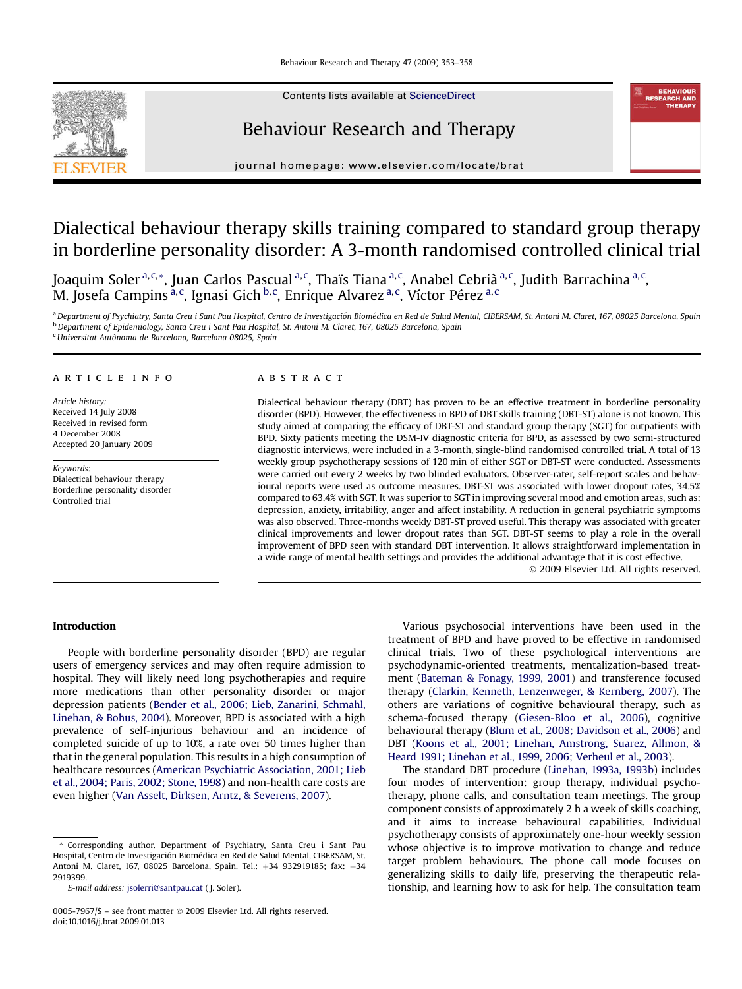

Contents lists available at [ScienceDirect](www.sciencedirect.com/science/journal/00057967)

# Behaviour Research and Therapy



journal homepage: [www.elsevier.com/locate/brat](http://www.elsevier.com/locate/brat)

# Dialectical behaviour therapy skills training compared to standard group therapy in borderline personality disorder: A 3-month randomised controlled clinical trial

Joaquim Soler <sup>a,c,</sup>\*, Juan Carlos Pascual <sup>a,c</sup>, Thaïs Tiana <sup>a,c</sup>, Anabel Cebrià <sup>a,c</sup>, Judith Barrachina <sup>a,c</sup>, M. Josefa Campins <sup>a, c</sup>, Ignasi Gich <sup>b, c</sup>, Enrique Alvarez <sup>a, c</sup>, Víctor Pérez <sup>a, c</sup>

a Department of Psychiatry, Santa Creu i Sant Pau Hospital, Centro de Investigación Biomédica en Red de Salud Mental, CIBERSAM, St. Antoni M. Claret, 167, 08025 Barcelona, Spain <sup>b</sup> Department of Epidemiology, Santa Creu i Sant Pau Hospital, St. Antoni M. Claret, 167, 08025 Barcelona, Spain

<sup>c</sup> Universitat Autònoma de Barcelona, Barcelona 08025, Spain

## article info

Article history: Received 14 July 2008 Received in revised form 4 December 2008 Accepted 20 January 2009

Keywords: Dialectical behaviour therapy Borderline personality disorder Controlled trial

## ABSTRACT

Dialectical behaviour therapy (DBT) has proven to be an effective treatment in borderline personality disorder (BPD). However, the effectiveness in BPD of DBT skills training (DBT-ST) alone is not known. This study aimed at comparing the efficacy of DBT-ST and standard group therapy (SGT) for outpatients with BPD. Sixty patients meeting the DSM-IV diagnostic criteria for BPD, as assessed by two semi-structured diagnostic interviews, were included in a 3-month, single-blind randomised controlled trial. A total of 13 weekly group psychotherapy sessions of 120 min of either SGT or DBT-ST were conducted. Assessments were carried out every 2 weeks by two blinded evaluators. Observer-rater, self-report scales and behavioural reports were used as outcome measures. DBT-ST was associated with lower dropout rates, 34.5% compared to 63.4% with SGT. It was superior to SGT in improving several mood and emotion areas, such as: depression, anxiety, irritability, anger and affect instability. A reduction in general psychiatric symptoms was also observed. Three-months weekly DBT-ST proved useful. This therapy was associated with greater clinical improvements and lower dropout rates than SGT. DBT-ST seems to play a role in the overall improvement of BPD seen with standard DBT intervention. It allows straightforward implementation in a wide range of mental health settings and provides the additional advantage that it is cost effective.

- 2009 Elsevier Ltd. All rights reserved.

### Introduction

People with borderline personality disorder (BPD) are regular users of emergency services and may often require admission to hospital. They will likely need long psychotherapies and require more medications than other personality disorder or major depression patients [\(Bender et al., 2006; Lieb, Zanarini, Schmahl,](#page--1-0) [Linehan, & Bohus, 2004\)](#page--1-0). Moreover, BPD is associated with a high prevalence of self-injurious behaviour and an incidence of completed suicide of up to 10%, a rate over 50 times higher than that in the general population. This results in a high consumption of healthcare resources ([American Psychiatric Association, 2001; Lieb](#page--1-0) [et al., 2004; Paris, 2002; Stone, 1998\)](#page--1-0) and non-health care costs are even higher [\(Van Asselt, Dirksen, Arntz, & Severens, 2007](#page--1-0)).

Various psychosocial interventions have been used in the treatment of BPD and have proved to be effective in randomised clinical trials. Two of these psychological interventions are psychodynamic-oriented treatments, mentalization-based treatment [\(Bateman & Fonagy, 1999, 2001\)](#page--1-0) and transference focused therapy [\(Clarkin, Kenneth, Lenzenweger, & Kernberg, 2007](#page--1-0)). The others are variations of cognitive behavioural therapy, such as schema-focused therapy ([Giesen-Bloo et al., 2006](#page--1-0)), cognitive behavioural therapy [\(Blum et al., 2008; Davidson et al., 2006\)](#page--1-0) and DBT ([Koons et al., 2001; Linehan, Amstrong, Suarez, Allmon, &](#page--1-0) [Heard 1991; Linehan et al., 1999, 2006; Verheul et al., 2003\)](#page--1-0).

The standard DBT procedure [\(Linehan, 1993a, 1993b\)](#page--1-0) includes four modes of intervention: group therapy, individual psychotherapy, phone calls, and consultation team meetings. The group component consists of approximately 2 h a week of skills coaching, and it aims to increase behavioural capabilities. Individual psychotherapy consists of approximately one-hour weekly session whose objective is to improve motivation to change and reduce target problem behaviours. The phone call mode focuses on generalizing skills to daily life, preserving the therapeutic relationship, and learning how to ask for help. The consultation team

<sup>\*</sup> Corresponding author. Department of Psychiatry, Santa Creu i Sant Pau Hospital, Centro de Investigación Biomédica en Red de Salud Mental, CIBERSAM, St. Antoni M. Claret, 167, 08025 Barcelona, Spain. Tel.: +34 932919185; fax: +34 2919399.

E-mail address: [jsolerri@santpau.cat](mailto:jsolerri@santpau.cat) ( J. Soler).

<sup>0005-7967/\$ –</sup> see front matter © 2009 Elsevier Ltd. All rights reserved. doi:10.1016/j.brat.2009.01.013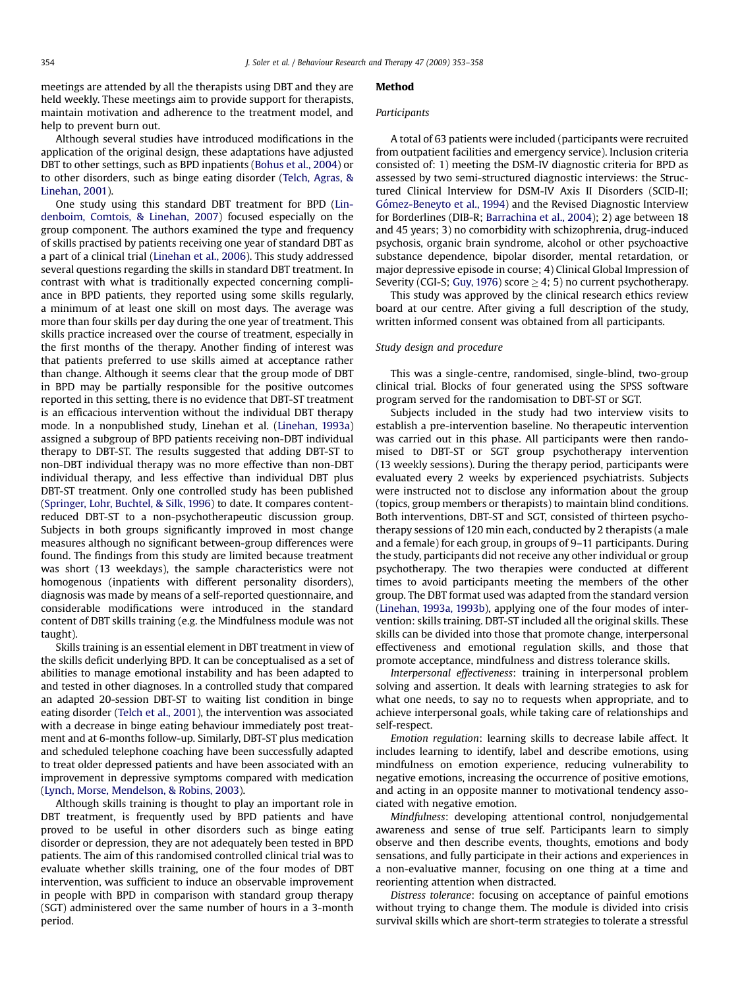meetings are attended by all the therapists using DBT and they are held weekly. These meetings aim to provide support for therapists, maintain motivation and adherence to the treatment model, and help to prevent burn out.

Although several studies have introduced modifications in the application of the original design, these adaptations have adjusted DBT to other settings, such as BPD inpatients ([Bohus et al., 2004\)](#page--1-0) or to other disorders, such as binge eating disorder [\(Telch, Agras, &](#page--1-0) [Linehan, 2001](#page--1-0)).

One study using this standard DBT treatment for BPD [\(Lin](#page--1-0)[denboim, Comtois, & Linehan, 2007](#page--1-0)) focused especially on the group component. The authors examined the type and frequency of skills practised by patients receiving one year of standard DBT as a part of a clinical trial [\(Linehan et al., 2006](#page--1-0)). This study addressed several questions regarding the skills in standard DBT treatment. In contrast with what is traditionally expected concerning compliance in BPD patients, they reported using some skills regularly, a minimum of at least one skill on most days. The average was more than four skills per day during the one year of treatment. This skills practice increased over the course of treatment, especially in the first months of the therapy. Another finding of interest was that patients preferred to use skills aimed at acceptance rather than change. Although it seems clear that the group mode of DBT in BPD may be partially responsible for the positive outcomes reported in this setting, there is no evidence that DBT-ST treatment is an efficacious intervention without the individual DBT therapy mode. In a nonpublished study, Linehan et al. ([Linehan, 1993a\)](#page--1-0) assigned a subgroup of BPD patients receiving non-DBT individual therapy to DBT-ST. The results suggested that adding DBT-ST to non-DBT individual therapy was no more effective than non-DBT individual therapy, and less effective than individual DBT plus DBT-ST treatment. Only one controlled study has been published ([Springer, Lohr, Buchtel, & Silk, 1996](#page--1-0)) to date. It compares contentreduced DBT-ST to a non-psychotherapeutic discussion group. Subjects in both groups significantly improved in most change measures although no significant between-group differences were found. The findings from this study are limited because treatment was short (13 weekdays), the sample characteristics were not homogenous (inpatients with different personality disorders), diagnosis was made by means of a self-reported questionnaire, and considerable modifications were introduced in the standard content of DBT skills training (e.g. the Mindfulness module was not taught).

Skills training is an essential element in DBT treatment in view of the skills deficit underlying BPD. It can be conceptualised as a set of abilities to manage emotional instability and has been adapted to and tested in other diagnoses. In a controlled study that compared an adapted 20-session DBT-ST to waiting list condition in binge eating disorder ([Telch et al., 2001](#page--1-0)), the intervention was associated with a decrease in binge eating behaviour immediately post treatment and at 6-months follow-up. Similarly, DBT-ST plus medication and scheduled telephone coaching have been successfully adapted to treat older depressed patients and have been associated with an improvement in depressive symptoms compared with medication ([Lynch, Morse, Mendelson, & Robins, 2003](#page--1-0)).

Although skills training is thought to play an important role in DBT treatment, is frequently used by BPD patients and have proved to be useful in other disorders such as binge eating disorder or depression, they are not adequately been tested in BPD patients. The aim of this randomised controlled clinical trial was to evaluate whether skills training, one of the four modes of DBT intervention, was sufficient to induce an observable improvement in people with BPD in comparison with standard group therapy (SGT) administered over the same number of hours in a 3-month period.

#### Method

#### Participants

A total of 63 patients were included (participants were recruited from outpatient facilities and emergency service). Inclusion criteria consisted of: 1) meeting the DSM-IV diagnostic criteria for BPD as assessed by two semi-structured diagnostic interviews: the Structured Clinical Interview for DSM-IV Axis II Disorders (SCID-II; Gómez-Beneyto et al., 1994) and the Revised Diagnostic Interview for Borderlines (DIB-R; [Barrachina et al., 2004](#page--1-0)); 2) age between 18 and 45 years; 3) no comorbidity with schizophrenia, drug-induced psychosis, organic brain syndrome, alcohol or other psychoactive substance dependence, bipolar disorder, mental retardation, or major depressive episode in course; 4) Clinical Global Impression of Severity (CGI-S; [Guy, 1976\)](#page--1-0) score  $\geq$  4; 5) no current psychotherapy.

This study was approved by the clinical research ethics review board at our centre. After giving a full description of the study, written informed consent was obtained from all participants.

#### Study design and procedure

This was a single-centre, randomised, single-blind, two-group clinical trial. Blocks of four generated using the SPSS software program served for the randomisation to DBT-ST or SGT.

Subjects included in the study had two interview visits to establish a pre-intervention baseline. No therapeutic intervention was carried out in this phase. All participants were then randomised to DBT-ST or SGT group psychotherapy intervention (13 weekly sessions). During the therapy period, participants were evaluated every 2 weeks by experienced psychiatrists. Subjects were instructed not to disclose any information about the group (topics, group members or therapists) to maintain blind conditions. Both interventions, DBT-ST and SGT, consisted of thirteen psychotherapy sessions of 120 min each, conducted by 2 therapists (a male and a female) for each group, in groups of 9–11 participants. During the study, participants did not receive any other individual or group psychotherapy. The two therapies were conducted at different times to avoid participants meeting the members of the other group. The DBT format used was adapted from the standard version ([Linehan, 1993a, 1993b](#page--1-0)), applying one of the four modes of intervention: skills training. DBT-ST included all the original skills. These skills can be divided into those that promote change, interpersonal effectiveness and emotional regulation skills, and those that promote acceptance, mindfulness and distress tolerance skills.

Interpersonal effectiveness: training in interpersonal problem solving and assertion. It deals with learning strategies to ask for what one needs, to say no to requests when appropriate, and to achieve interpersonal goals, while taking care of relationships and self-respect.

Emotion regulation: learning skills to decrease labile affect. It includes learning to identify, label and describe emotions, using mindfulness on emotion experience, reducing vulnerability to negative emotions, increasing the occurrence of positive emotions, and acting in an opposite manner to motivational tendency associated with negative emotion.

Mindfulness: developing attentional control, nonjudgemental awareness and sense of true self. Participants learn to simply observe and then describe events, thoughts, emotions and body sensations, and fully participate in their actions and experiences in a non-evaluative manner, focusing on one thing at a time and reorienting attention when distracted.

Distress tolerance: focusing on acceptance of painful emotions without trying to change them. The module is divided into crisis survival skills which are short-term strategies to tolerate a stressful